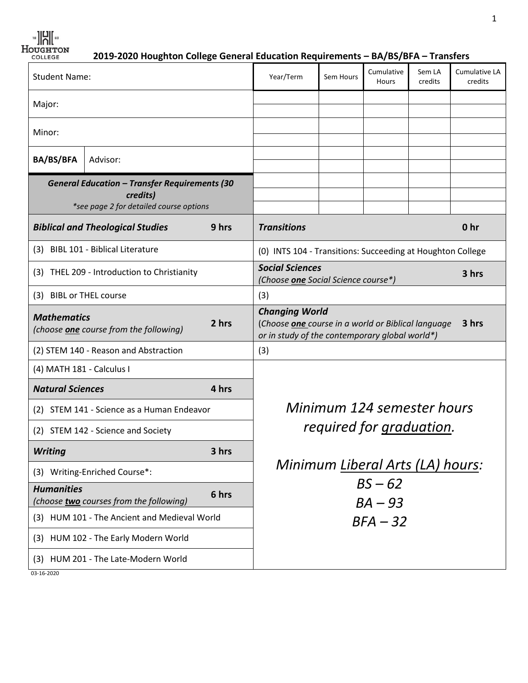**2019-2020 Houghton College General Education Requirements – BA/BS/BFA – Transfers**

| <b>Student Name:</b>                                                                                        |          | Year/Term                                                                                                                              | Sem Hours                                                  | Cumulative<br>Hours | Sem LA<br>credits | Cumulative LA<br>credits |                 |
|-------------------------------------------------------------------------------------------------------------|----------|----------------------------------------------------------------------------------------------------------------------------------------|------------------------------------------------------------|---------------------|-------------------|--------------------------|-----------------|
| Major:                                                                                                      |          |                                                                                                                                        |                                                            |                     |                   |                          |                 |
|                                                                                                             |          |                                                                                                                                        |                                                            |                     |                   |                          |                 |
| Minor:                                                                                                      |          |                                                                                                                                        |                                                            |                     |                   |                          |                 |
| <b>BA/BS/BFA</b>                                                                                            | Advisor: |                                                                                                                                        |                                                            |                     |                   |                          |                 |
| <b>General Education - Transfer Requirements (30</b><br>credits)<br>*see page 2 for detailed course options |          |                                                                                                                                        |                                                            |                     |                   |                          |                 |
| <b>Biblical and Theological Studies</b>                                                                     |          | 9 hrs                                                                                                                                  | <b>Transitions</b>                                         |                     |                   |                          | 0 <sub>hr</sub> |
| (3) BIBL 101 - Biblical Literature                                                                          |          | (0) INTS 104 - Transitions: Succeeding at Houghton College                                                                             |                                                            |                     |                   |                          |                 |
| (3) THEL 209 - Introduction to Christianity                                                                 |          | <b>Social Sciences</b><br>3 hrs<br>(Choose one Social Science course*)                                                                 |                                                            |                     |                   |                          |                 |
| (3) BIBL or THEL course                                                                                     |          | (3)                                                                                                                                    |                                                            |                     |                   |                          |                 |
| <b>Mathematics</b><br>2 hrs<br>(choose <b>one</b> course from the following)                                |          | <b>Changing World</b><br>3 hrs<br>(Choose one course in a world or Biblical language<br>or in study of the contemporary global world*) |                                                            |                     |                   |                          |                 |
| (2) STEM 140 - Reason and Abstraction                                                                       |          |                                                                                                                                        | (3)                                                        |                     |                   |                          |                 |
| (4) MATH 181 - Calculus I                                                                                   |          |                                                                                                                                        |                                                            |                     |                   |                          |                 |
| <b>Natural Sciences</b>                                                                                     |          | 4 hrs                                                                                                                                  |                                                            |                     |                   |                          |                 |
| STEM 141 - Science as a Human Endeavor<br>(2)                                                               |          | Minimum 124 semester hours                                                                                                             |                                                            |                     |                   |                          |                 |
| (2) STEM 142 - Science and Society                                                                          |          |                                                                                                                                        | required for graduation.                                   |                     |                   |                          |                 |
| <b>Writing</b>                                                                                              |          | 3 hrs                                                                                                                                  |                                                            |                     |                   |                          |                 |
| (3) Writing-Enriched Course*:                                                                               |          |                                                                                                                                        | Minimum Liberal Arts (LA) hours:<br>$BS - 62$<br>$BA - 93$ |                     |                   |                          |                 |
| <b>Humanities</b><br>(choose two courses from the following)                                                |          | 6 hrs                                                                                                                                  |                                                            |                     |                   |                          |                 |
| (3) HUM 101 - The Ancient and Medieval World                                                                |          | $BFA - 32$                                                                                                                             |                                                            |                     |                   |                          |                 |
| HUM 102 - The Early Modern World<br>(3)                                                                     |          |                                                                                                                                        |                                                            |                     |                   |                          |                 |
| HUM 201 - The Late-Modern World<br>(3)                                                                      |          |                                                                                                                                        |                                                            |                     |                   |                          |                 |
| 03-16-2020                                                                                                  |          |                                                                                                                                        |                                                            |                     |                   |                          |                 |

1